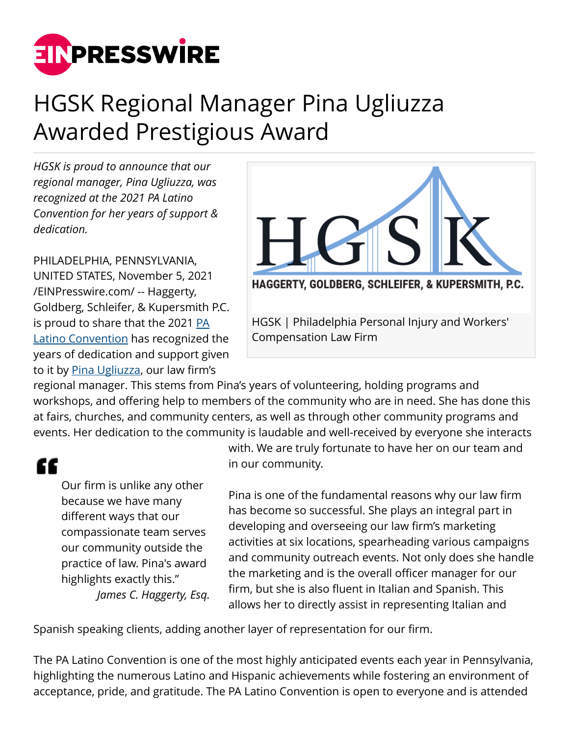

## HGSK Regional Manager Pina Ugliuzza Awarded Prestigious Award

*HGSK is proud to announce that our regional manager, Pina Ugliuzza, was recognized at the 2021 PA Latino Convention for her years of support & dedication.*

PHILADELPHIA, PENNSYLVANIA, UNITED STATES, November 5, 2021 [/EINPresswire.com/](http://www.einpresswire.com) -- Haggerty, Goldberg, Schleifer, & Kupersmith P.C. is proud to share that the 2021 [PA](https://www.palatinoconvention.com/) [Latino Convention](https://www.palatinoconvention.com/) has recognized the years of dedication and support given to it by [Pina Ugliuzza](https://www.hgsklawyers.com/staff/pina/), our law firm's



regional manager. This stems from Pina's years of volunteering, holding programs and workshops, and offering help to members of the community who are in need. She has done this at fairs, churches, and community centers, as well as through other community programs and events. Her dedication to the community is laudable and well-received by everyone she interacts

## "

Our firm is unlike any other because we have many different ways that our compassionate team serves our community outside the practice of law. Pina's award highlights exactly this." *James C. Haggerty, Esq.* with. We are truly fortunate to have her on our team and in our community.

Pina is one of the fundamental reasons why our law firm has become so successful. She plays an integral part in developing and overseeing our law firm's marketing activities at six locations, spearheading various campaigns and community outreach events. Not only does she handle the marketing and is the overall officer manager for our firm, but she is also fluent in Italian and Spanish. This allows her to directly assist in representing Italian and

Spanish speaking clients, adding another layer of representation for our firm.

The PA Latino Convention is one of the most highly anticipated events each year in Pennsylvania, highlighting the numerous Latino and Hispanic achievements while fostering an environment of acceptance, pride, and gratitude. The PA Latino Convention is open to everyone and is attended